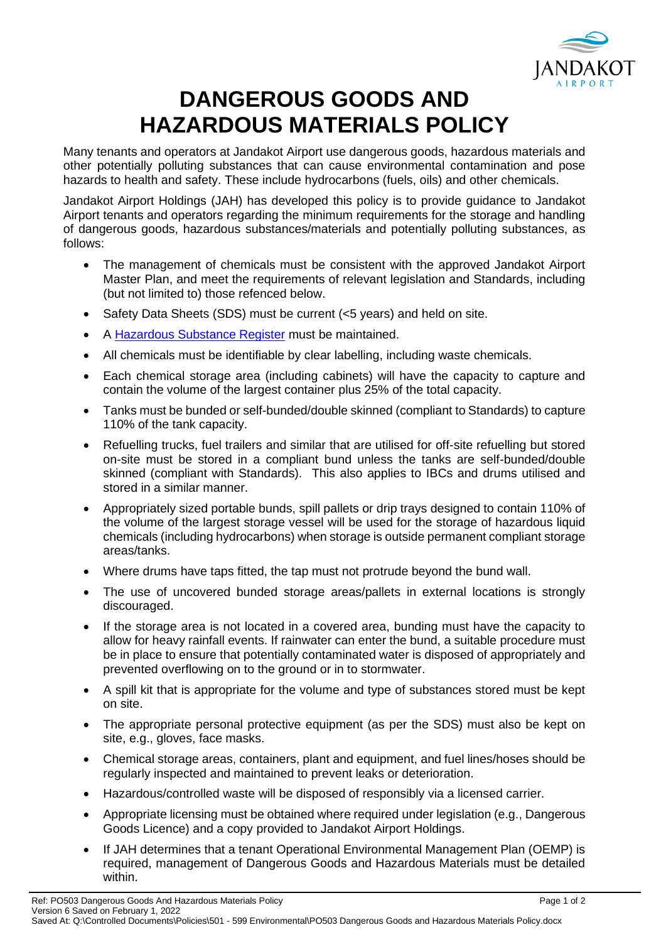

## **DANGEROUS GOODS AND HAZARDOUS MATERIALS POLICY**

Many tenants and operators at Jandakot Airport use dangerous goods, hazardous materials and other potentially polluting substances that can cause environmental contamination and pose hazards to health and safety. These include hydrocarbons (fuels, oils) and other chemicals.

Jandakot Airport Holdings (JAH) has developed this policy is to provide guidance to Jandakot Airport tenants and operators regarding the minimum requirements for the storage and handling of dangerous goods, hazardous substances/materials and potentially polluting substances, as follows:

- The management of chemicals must be consistent with the approved Jandakot Airport Master Plan, and meet the requirements of relevant legislation and Standards, including (but not limited to) those refenced below.
- Safety Data Sheets (SDS) must be current (<5 years) and held on site.
- A [Hazardous Substance Register](https://www.safeworkaustralia.gov.au/sites/default/files/2021-11/hazardous_chemical_register_factsheet.pdf) must be maintained.
- All chemicals must be identifiable by clear labelling, including waste chemicals.
- Each chemical storage area (including cabinets) will have the capacity to capture and contain the volume of the largest container plus 25% of the total capacity.
- Tanks must be bunded or self-bunded/double skinned (compliant to Standards) to capture 110% of the tank capacity.
- Refuelling trucks, fuel trailers and similar that are utilised for off-site refuelling but stored on-site must be stored in a compliant bund unless the tanks are self-bunded/double skinned (compliant with Standards). This also applies to IBCs and drums utilised and stored in a similar manner.
- Appropriately sized portable bunds, spill pallets or drip trays designed to contain 110% of the volume of the largest storage vessel will be used for the storage of hazardous liquid chemicals (including hydrocarbons) when storage is outside permanent compliant storage areas/tanks.
- Where drums have taps fitted, the tap must not protrude beyond the bund wall.
- The use of uncovered bunded storage areas/pallets in external locations is strongly discouraged.
- If the storage area is not located in a covered area, bunding must have the capacity to allow for heavy rainfall events. If rainwater can enter the bund, a suitable procedure must be in place to ensure that potentially contaminated water is disposed of appropriately and prevented overflowing on to the ground or in to stormwater.
- A spill kit that is appropriate for the volume and type of substances stored must be kept on site.
- The appropriate personal protective equipment (as per the SDS) must also be kept on site, e.g., gloves, face masks.
- Chemical storage areas, containers, plant and equipment, and fuel lines/hoses should be regularly inspected and maintained to prevent leaks or deterioration.
- Hazardous/controlled waste will be disposed of responsibly via a licensed carrier.
- Appropriate licensing must be obtained where required under legislation (e.g., Dangerous Goods Licence) and a copy provided to Jandakot Airport Holdings.
- If JAH determines that a tenant Operational Environmental Management Plan (OEMP) is required, management of Dangerous Goods and Hazardous Materials must be detailed within.